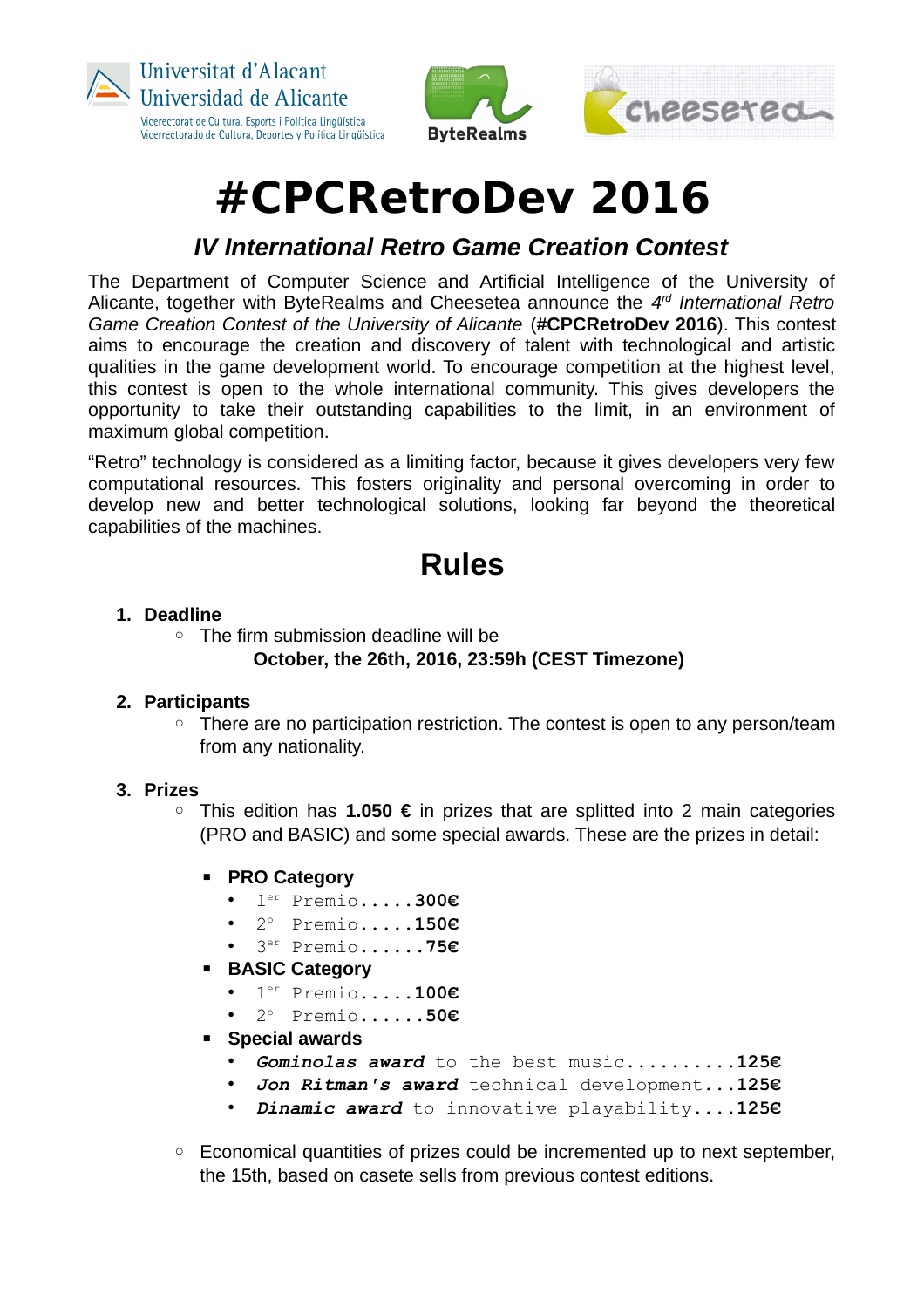



# **#CPCRetroDev 2016**

### *IV International Retro Game Creation Contest*

The Department of Computer Science and Artificial Intelligence of the University of Alicante, together with ByteRealms and Cheesetea announce the *4 rd International Retro Game Creation Contest of the University of Alicante (#CPCRetroDev 2016). This contest* aims to encourage the creation and discovery of talent with technological and artistic qualities in the game development world. To encourage competition at the highest level, this contest is open to the whole international community. This gives developers the opportunity to take their outstanding capabilities to the limit, in an environment of maximum global competition.

"Retro" technology is considered as a limiting factor, because it gives developers very few computational resources. This fosters originality and personal overcoming in order to develop new and better technological solutions, looking far beyond the theoretical capabilities of the machines.

# **Rules**

#### **1. Deadline**

◦ The firm submission deadline will be **October, the 26th, 2016, 23:59h (CEST Timezone)**

#### **2. Participants**

◦ There are no participation restriction. The contest is open to any person/team from any nationality.

#### **3. Prizes**

- This edition has **1.050 €** in prizes that are splitted into 2 main categories (PRO and BASIC) and some special awards. These are the prizes in detail:
	- **PRO Category**
		- 1 er Premio.....**300€**
		- 2° Premio.....**150€**
		- 3 er Premio......**75€**
	- **BASIC Category**
		- 1 er Premio.....**100€**
		- 2° Premio......50€
	- **Special awards**
		- *Gominolas award* to the best music..........**125€**
		- *Jon Ritman's award* technical development...**125€**
		- *Dinamic award* to innovative playability**....125€**
- Economical quantities of prizes could be incremented up to next september, the 15th, based on casete sells from previous contest editions.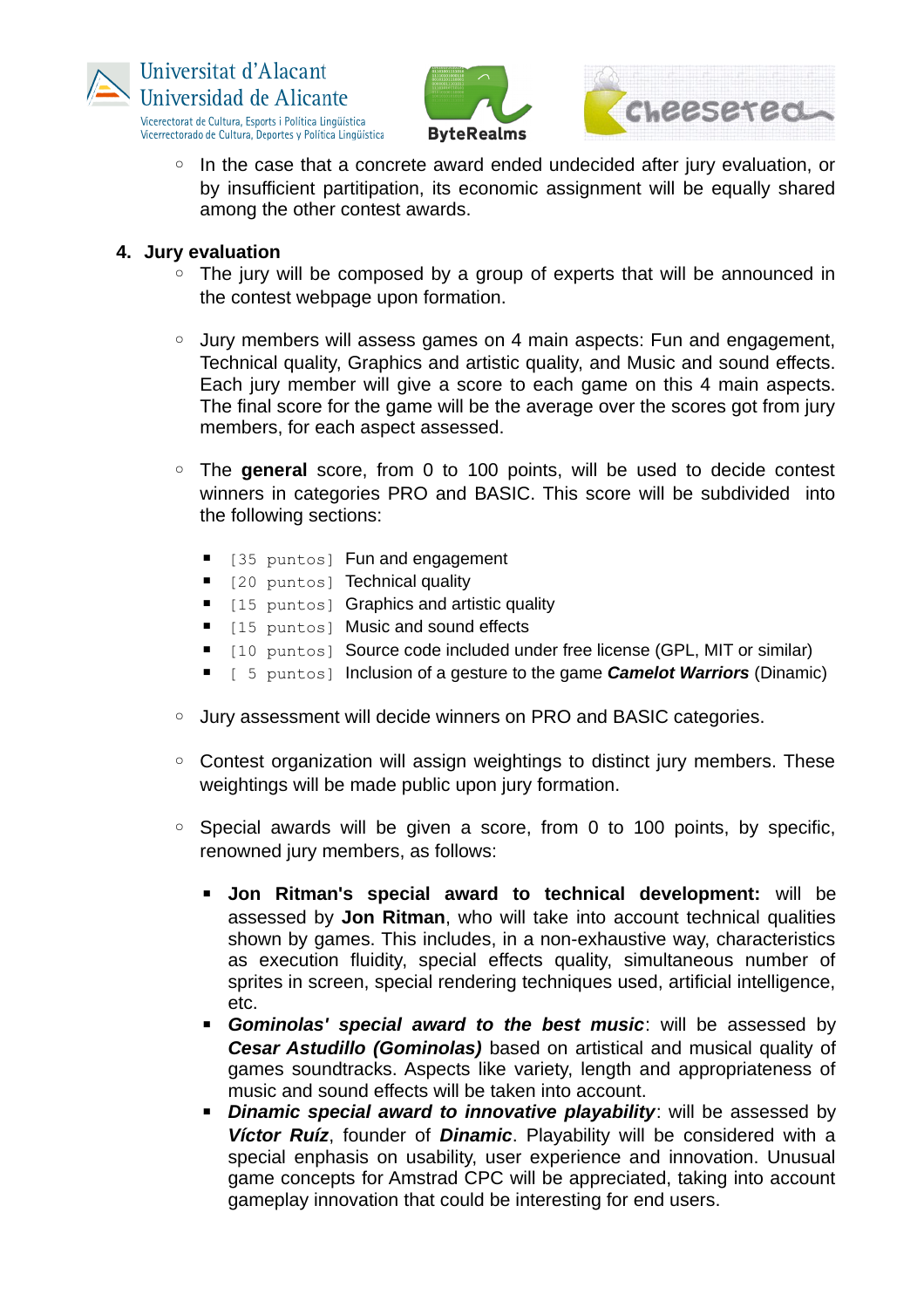





◦ In the case that a concrete award ended undecided after jury evaluation, or by insufficient partitipation, its economic assignment will be equally shared among the other contest awards.

#### **4. Jury evaluation**

- The jury will be composed by a group of experts that will be announced in the contest webpage upon formation.
- Jury members will assess games on 4 main aspects: Fun and engagement, Technical quality, Graphics and artistic quality, and Music and sound effects. Each jury member will give a score to each game on this 4 main aspects. The final score for the game will be the average over the scores got from jury members, for each aspect assessed.
- The **general** score, from 0 to 100 points, will be used to decide contest winners in categories PRO and BASIC. This score will be subdivided into the following sections:
	- [35 puntos] Fun and engagement
	- [20 puntos] Technical quality
	- [15 puntos] Graphics and artistic quality
	- [15 puntos] Music and sound effects
	- [10 puntos] Source code included under free license (GPL, MIT or similar)
	- **E** [ 5 puntos] Inclusion of a gesture to the game **Camelot Warriors** (Dinamic)
- Jury assessment will decide winners on PRO and BASIC categories.
- Contest organization will assign weightings to distinct jury members. These weightings will be made public upon jury formation.
- Special awards will be given a score, from 0 to 100 points, by specific, renowned jury members, as follows:
	- **Jon Ritman's special award to technical development:** will be assessed by **Jon Ritman**, who will take into account technical qualities shown by games. This includes, in a non-exhaustive way, characteristics as execution fluidity, special effects quality, simultaneous number of sprites in screen, special rendering techniques used, artificial intelligence, etc.
	- **Examinolas' special award to the best music:** will be assessed by *Cesar Astudillo (Gominolas)* based on artistical and musical quality of games soundtracks. Aspects like variety, length and appropriateness of music and sound effects will be taken into account.
	- *Dinamic special award to innovative playability: will be assessed by Víctor Ruíz*, founder of *Dinamic*. Playability will be considered with a special enphasis on usability, user experience and innovation. Unusual game concepts for Amstrad CPC will be appreciated, taking into account gameplay innovation that could be interesting for end users.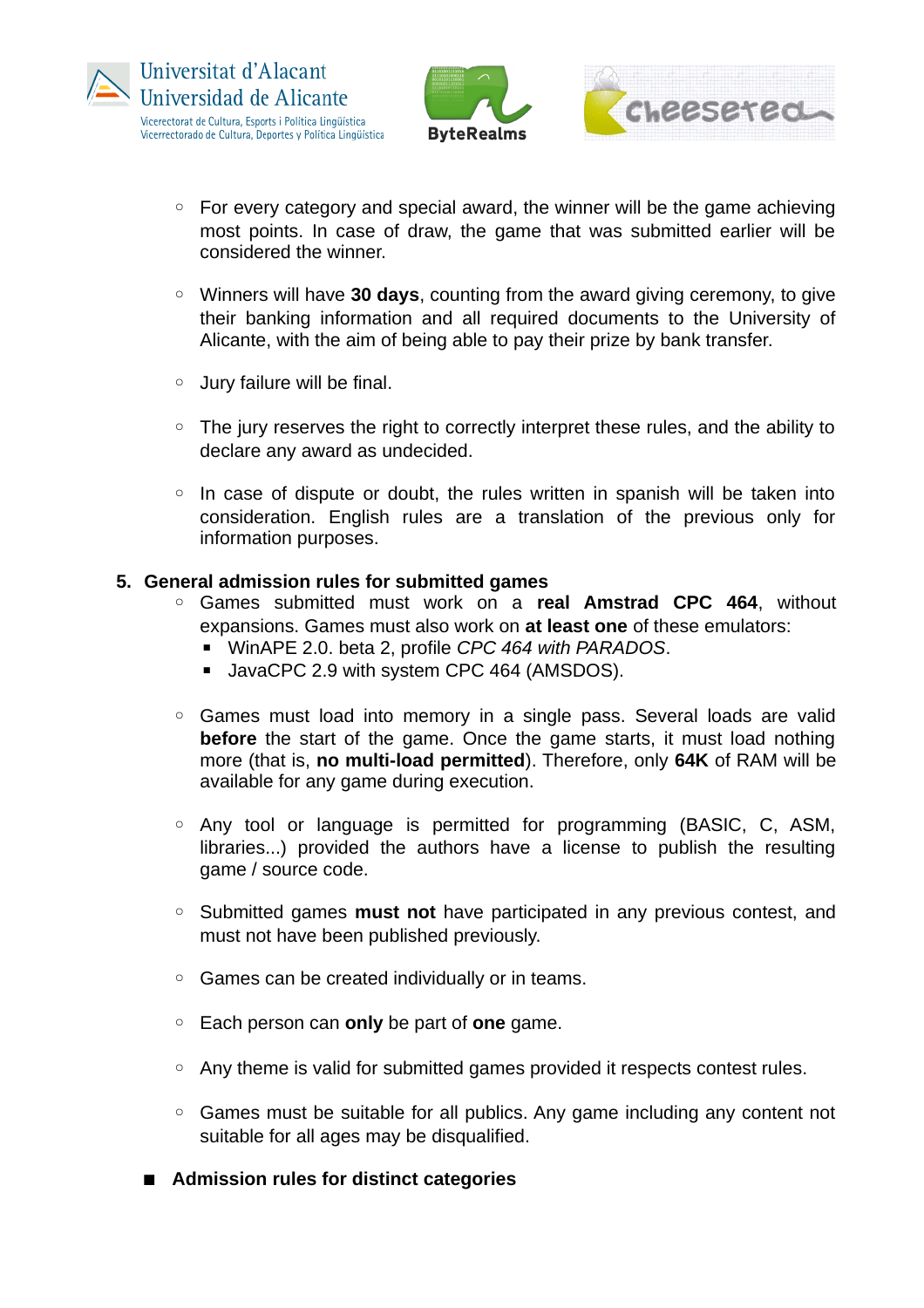

- For every category and special award, the winner will be the game achieving most points. In case of draw, the game that was submitted earlier will be considered the winner.
- Winners will have **30 days**, counting from the award giving ceremony, to give their banking information and all required documents to the University of Alicante, with the aim of being able to pay their prize by bank transfer.
- Jury failure will be final.
- The jury reserves the right to correctly interpret these rules, and the ability to declare any award as undecided.
- In case of dispute or doubt, the rules written in spanish will be taken into consideration. English rules are a translation of the previous only for information purposes.

#### **5. General admission rules for submitted games**

- Games submitted must work on a **real Amstrad CPC 464**, without expansions. Games must also work on **at least one** of these emulators:
	- WinAPE 2.0. beta 2, profile *CPC 464 with PARADOS*.
	- JavaCPC 2.9 with system CPC 464 (AMSDOS).
- Games must load into memory in a single pass. Several loads are valid **before** the start of the game. Once the game starts, it must load nothing more (that is, **no multi-load permitted**). Therefore, only **64K** of RAM will be available for any game during execution.
- Any tool or language is permitted for programming (BASIC, C, ASM, libraries...) provided the authors have a license to publish the resulting game / source code.
- Submitted games **must not** have participated in any previous contest, and must not have been published previously.
- Games can be created individually or in teams.
- Each person can **only** be part of **one** game.
- Any theme is valid for submitted games provided it respects contest rules.
- Games must be suitable for all publics. Any game including any content not suitable for all ages may be disqualified.
- **Admission rules for distinct categories**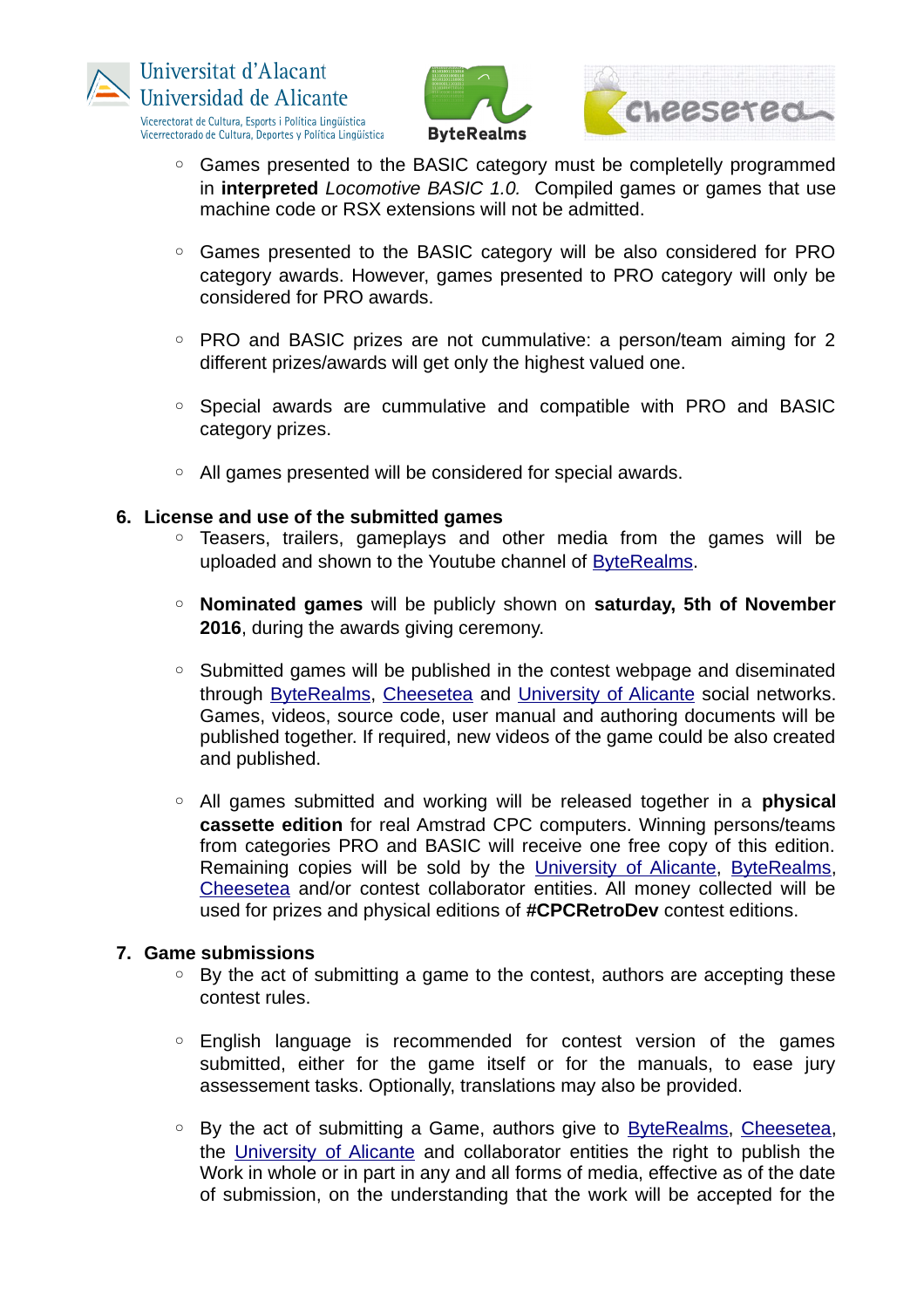







- Games presented to the BASIC category must be completelly programmed in **interpreted** *Locomotive BASIC 1.0.* Compiled games or games that use machine code or RSX extensions will not be admitted.
- Games presented to the BASIC category will be also considered for PRO category awards. However, games presented to PRO category will only be considered for PRO awards.
- PRO and BASIC prizes are not cummulative: a person/team aiming for 2 different prizes/awards will get only the highest valued one.
- Special awards are cummulative and compatible with PRO and BASIC category prizes.
- All games presented will be considered for special awards.

#### **6. License and use of the submitted games**

- Teasers, trailers, gameplays and other media from the games will be uploaded and shown to the Youtube channel of [ByteRealms.](http://www.byterealms.com/)
- **Nominated games** will be publicly shown on **saturday, 5th of November 2016**, during the awards giving ceremony.
- Submitted games will be published in the contest webpage and diseminated through [ByteRealms,](http://www.byterealms.com/) [Cheesetea](http://www.cheesetea.com/) and University of Alicante social networks. Games, videos, source code, user manual and authoring documents will be published together. If required, new videos of the game could be also created and published.
- All games submitted and working will be released together in a **physical cassette edition** for real Amstrad CPC computers. Winning persons/teams from categories PRO and BASIC will receive one free copy of this edition. Remaining copies will be sold by the University of Alicante, [ByteRealms,](http://www.byterealms.com/) [Cheesetea](http://www.cheesetea.com/) and/or contest collaborator entities. All money collected will be used for prizes and physical editions of **#CPCRetroDev** contest editions.

#### **7. Game submissions**

- By the act of submitting a game to the contest, authors are accepting these contest rules.
- English language is recommended for contest version of the games submitted, either for the game itself or for the manuals, to ease jury assessement tasks. Optionally, translations may also be provided.
- By the act of submitting a Game, authors give to [ByteRealms,](http://www.byterealms.com/) [Cheesetea,](http://www.cheesetea.com/) the University of Alicante and collaborator entities the right to publish the Work in whole or in part in any and all forms of media, effective as of the date of submission, on the understanding that the work will be accepted for the